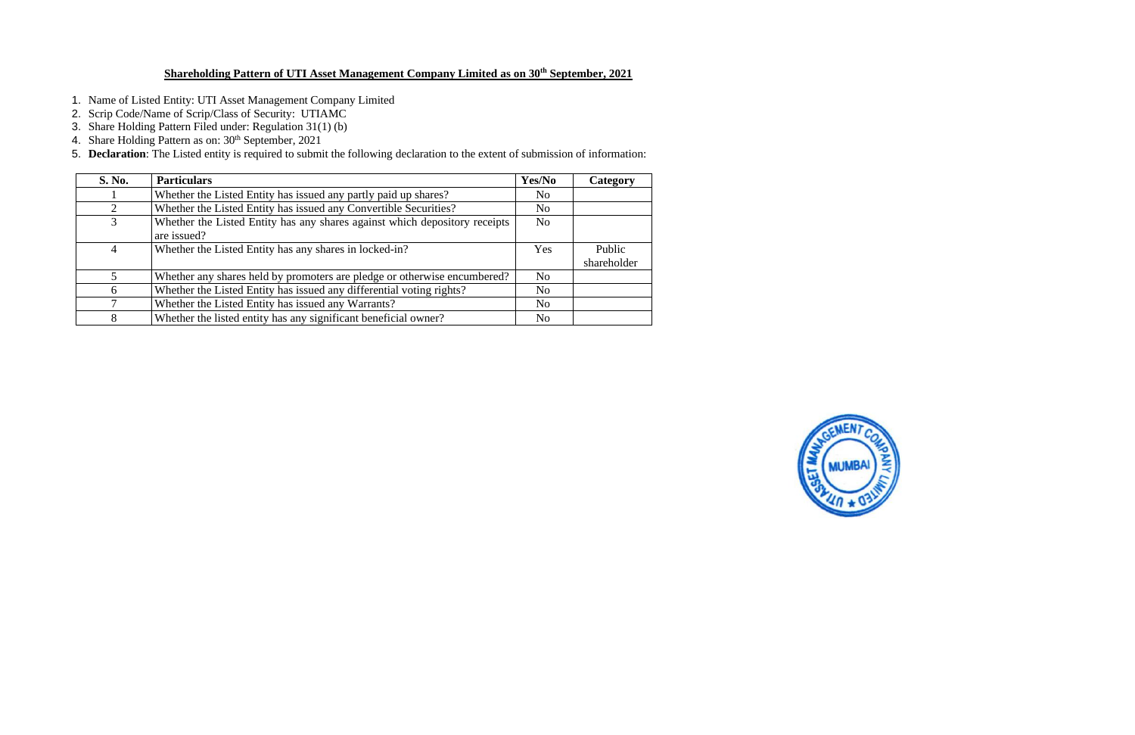### **Shareholding Pattern of UTI Asset Management Company Limited as on 30th September, 2021**

- 1. Name of Listed Entity: UTI Asset Management Company Limited
- 2. Scrip Code/Name of Scrip/Class of Security: UTIAMC
- 3. Share Holding Pattern Filed under: Regulation 31(1) (b)
- 4. Share Holding Pattern as on: 30<sup>th</sup> September, 2021
- 5. **Declaration**: The Listed entity is required to submit the following declaration to the extent of submission of information:

| S. No.        | <b>Particulars</b>                                                                        | Yes/No         | Category              |
|---------------|-------------------------------------------------------------------------------------------|----------------|-----------------------|
|               | Whether the Listed Entity has issued any partly paid up shares?                           | N <sub>o</sub> |                       |
| $\mathcal{D}$ | Whether the Listed Entity has issued any Convertible Securities?                          | N <sub>o</sub> |                       |
| 3             | Whether the Listed Entity has any shares against which depository receipts<br>are issued? | N <sub>0</sub> |                       |
|               | Whether the Listed Entity has any shares in locked-in?                                    | Yes            | Public<br>shareholder |
|               | Whether any shares held by promoters are pledge or otherwise encumbered?                  | N <sub>o</sub> |                       |
| 6             | Whether the Listed Entity has issued any differential voting rights?                      | N <sub>0</sub> |                       |
|               | Whether the Listed Entity has issued any Warrants?                                        | N <sub>0</sub> |                       |
| 8             | Whether the listed entity has any significant beneficial owner?                           | N <sub>0</sub> |                       |

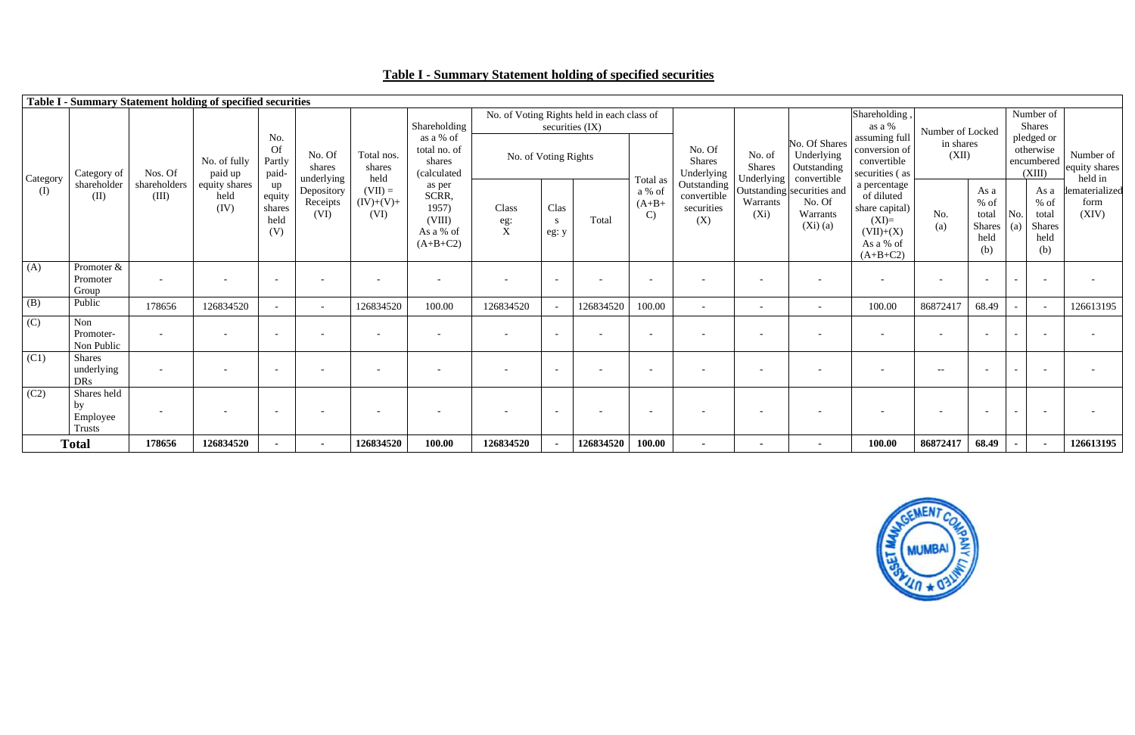# **Table I - Summary Statement holding of specified securities**



|                   |                                                |                          | Table I - Summary Statement holding of specified securities |                                       |                                |                                  |                                                               |                               |                          |                                            |                                    |                                                 |                                       |                                                                  |                                                                                                   |                          |                                                         |                                                                       |                                       |
|-------------------|------------------------------------------------|--------------------------|-------------------------------------------------------------|---------------------------------------|--------------------------------|----------------------------------|---------------------------------------------------------------|-------------------------------|--------------------------|--------------------------------------------|------------------------------------|-------------------------------------------------|---------------------------------------|------------------------------------------------------------------|---------------------------------------------------------------------------------------------------|--------------------------|---------------------------------------------------------|-----------------------------------------------------------------------|---------------------------------------|
|                   |                                                |                          |                                                             |                                       |                                |                                  | Shareholding                                                  |                               | securities (IX)          | No. of Voting Rights held in each class of |                                    |                                                 |                                       |                                                                  | Shareholding,<br>as a %                                                                           | Number of Locked         |                                                         | Number of<br><b>Shares</b>                                            |                                       |
| Category<br>(I)   | Category of                                    | Nos. Of                  | No. of fully<br>paid up                                     | No.<br><b>Of</b><br>Partly<br>paid-   | No. Of<br>shares<br>underlying | Total nos.<br>shares<br>held     | as a % of<br>total no. of<br>shares<br>(calculated            |                               | No. of Voting Rights     |                                            | Total as                           | No. Of<br>Shares<br>Underlying                  | No. of<br><b>Shares</b><br>Underlying | No. Of Shares<br>Underlying<br>Outstanding<br>convertible        | assuming full<br>conversion of<br>convertible<br>securities (as                                   | in shares<br>(XII)       |                                                         | pledged or<br>otherwise<br>encumbered<br>(XIII)                       | Number of<br>equity shares<br>held in |
|                   | shareholder<br>(II)                            | shareholders<br>(III)    | equity shares<br>held<br>(IV)                               | up<br>equity<br>shares<br>held<br>(V) | Depository<br>Receipts<br>(VI) | $(VII) =$<br>$(IV)+(V)+$<br>(VI) | as per<br>SCRR,<br>1957)<br>(VIII)<br>As a % of<br>$(A+B+C2)$ | Class<br>eg:<br>$\frac{1}{X}$ | Clas<br>S<br>eg: y       | Total                                      | a % of<br>$(A+B+$<br>$\mathcal{C}$ | Outstanding<br>convertible<br>securities<br>(X) | Warrants<br>$(X_i)$                   | Outstanding securities and<br>No. Of<br>Warrants<br>$(Xi)$ $(a)$ | a percentage<br>of diluted<br>share capital)<br>$(XI)=$<br>$(VII)+(X)$<br>As a % of<br>$(A+B+C2)$ | No.<br>(a)               | As a<br>$%$ of<br>total<br><b>Shares</b><br>held<br>(b) | As a<br>$%$ of<br>No.<br>total<br><b>Shares</b><br>(a)<br>held<br>(b) | dematerialized<br>form<br>(XIV)       |
| (A)               | Promoter &<br>Promoter<br>Group                | $\overline{\phantom{0}}$ | $\overline{\phantom{a}}$                                    | $\overline{\phantom{a}}$              |                                | $\overline{\phantom{a}}$         | $\overline{\phantom{0}}$                                      | $\overline{\phantom{0}}$      | $\overline{\phantom{0}}$ |                                            | $\overline{\phantom{a}}$           |                                                 | $\overline{\phantom{0}}$              | $\overline{\phantom{a}}$                                         | $\overline{\phantom{0}}$                                                                          | $\overline{\phantom{a}}$ | $\overline{\phantom{0}}$                                | $\overline{\phantom{a}}$                                              | $\overline{\phantom{a}}$              |
| (B)               | Public                                         | 178656                   | 126834520                                                   |                                       | $\sim$                         | 126834520                        | 100.00                                                        | 126834520                     |                          | 126834520                                  | 100.00                             |                                                 | $\overline{\phantom{a}}$              | $\overline{\phantom{a}}$                                         | 100.00                                                                                            | 86872417                 | 68.49                                                   | $\sim$<br>$\overline{\phantom{a}}$                                    | 126613195                             |
| (C)               | Non<br>Promoter-<br>Non Public                 |                          | $\overline{\phantom{a}}$                                    | $\overline{\phantom{a}}$              |                                | $\overline{\phantom{a}}$         |                                                               |                               |                          |                                            | $\overline{\phantom{a}}$           |                                                 | $\overline{\phantom{a}}$              | $\overline{\phantom{a}}$                                         | $\overline{\phantom{0}}$                                                                          | $\overline{\phantom{a}}$ | $\overline{\phantom{0}}$                                | $\overline{\phantom{a}}$                                              | $\overline{\phantom{a}}$              |
| (C1)              | <b>Shares</b><br>underlying<br><b>DRs</b>      |                          | $\overline{\phantom{a}}$                                    | $\overline{\phantom{a}}$              |                                | $\overline{\phantom{a}}$         |                                                               |                               |                          |                                            | $\overline{\phantom{a}}$           |                                                 |                                       |                                                                  |                                                                                                   | $--$                     | $\overline{\phantom{0}}$                                | $\overline{\phantom{a}}$<br>$\overline{\phantom{0}}$                  | $\overline{\phantom{a}}$              |
| $\overline{(C2)}$ | Shares held<br>by<br>Employee<br><b>Trusts</b> |                          | $\overline{\phantom{a}}$                                    | $\overline{\phantom{a}}$              |                                | $\overline{\phantom{0}}$         | $\overline{\phantom{0}}$                                      | $\overline{\phantom{0}}$      | $\overline{\phantom{0}}$ |                                            | $\overline{\phantom{a}}$           |                                                 | $\overline{\phantom{0}}$              | $\overline{\phantom{a}}$                                         | $\overline{\phantom{0}}$                                                                          | $\overline{\phantom{a}}$ |                                                         | $\sim$                                                                | $\overline{\phantom{a}}$              |
|                   | <b>Total</b>                                   | 178656                   | 126834520                                                   | $\sim$                                | $\sim$                         | 126834520                        | 100.00                                                        | 126834520                     |                          | 126834520                                  | 100.00                             | $\sim$                                          | $\sim$                                | $\sim$                                                           | 100.00                                                                                            | 86872417                 | 68.49                                                   | $\sim$<br>$\sim$                                                      | 126613195                             |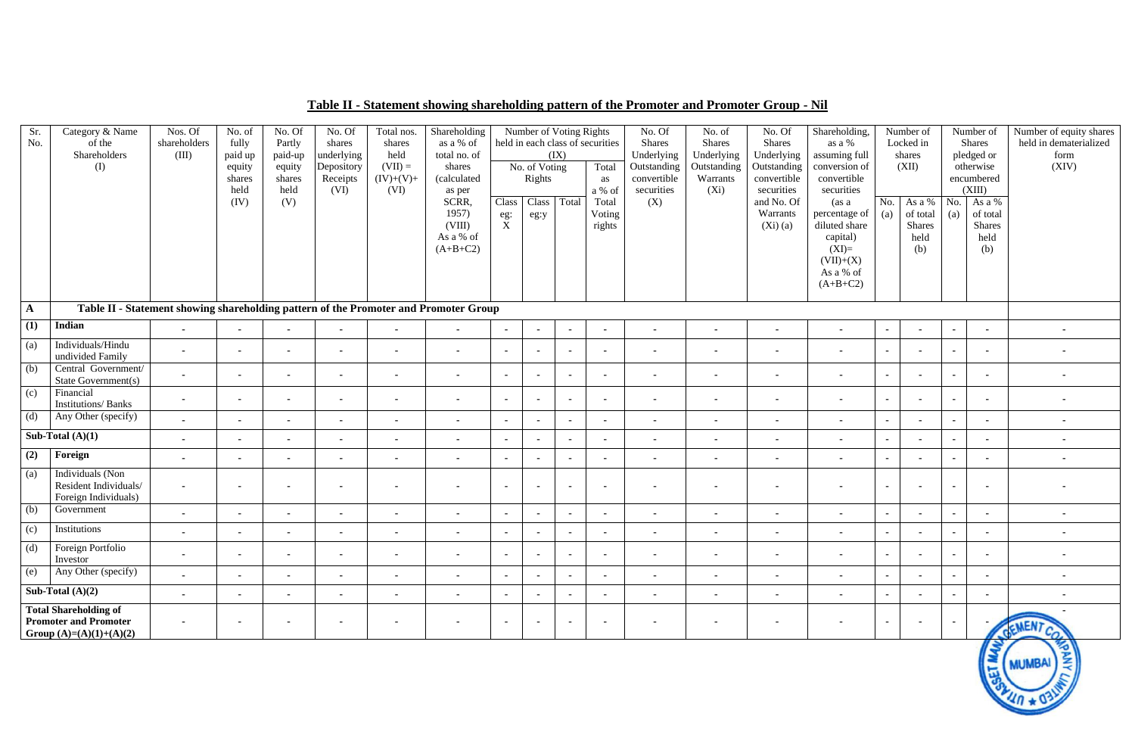## **Table II - Statement showing shareholding pattern of the Promoter and Promoter Group - Nil**

| Sr.<br>No.   | Category & Name<br>of the<br>Shareholders<br>(I)                                          | Nos. Of<br>shareholders<br>(III) | No. of<br>fully<br>paid up<br>equity<br>shares<br>held<br>(IV) | No. Of<br>Partly<br>paid-up<br>equity<br>shares<br>held<br>(V) | No. Of<br>shares<br>underlying<br>Depository<br>Receipts<br>(VI) | Total nos.<br>shares<br>held<br>$(VII) =$<br>$(IV)+(V)+$<br>(VI) | Shareholding<br>as a % of<br>total no. of<br>shares<br>(calculated<br>as per<br>SCRR,<br>1957)<br>(VIII)<br>As a % of<br>$(A+B+C2)$ | Class<br>eg:<br>$\mathbf X$ | Number of Voting Rights<br>No. of Voting<br>Rights<br>Class<br>eg:y | (IX)<br>Total  | held in each class of securities<br>Total<br>as<br>a % of<br>Total<br>Voting<br>rights | No. Of<br><b>Shares</b><br>Underlying<br>Outstanding<br>convertible<br>securities<br>(X) | No. of<br>Shares<br>Underlying<br>Outstanding<br>Warrants<br>$(X_i)$ | No. Of<br><b>Shares</b><br>Underlying<br>Outstanding<br>convertible<br>securities<br>and No. Of<br>Warrants<br>(Xi)(a) | Shareholding,<br>as a %<br>assuming full<br>conversion of<br>convertible<br>securities<br>(as a<br>percentage of<br>diluted share<br>capital)<br>$(XI)=$<br>$(VII)+(X)$<br>As a % of<br>$(A+B+C2)$ | No.<br>(a) | Number of<br>Locked in<br>shares<br>(XII)<br>As a %<br>of total<br><b>Shares</b><br>held<br>(b) | No.<br>(a) | Number of<br><b>Shares</b><br>pledged or<br>otherwise<br>encumbered<br>(XIII)<br>As a $\overline{\%}$<br>of total<br><b>Shares</b><br>held<br>(b) | Number of equity shares<br>held in dematerialized<br>form<br>(XIV) |
|--------------|-------------------------------------------------------------------------------------------|----------------------------------|----------------------------------------------------------------|----------------------------------------------------------------|------------------------------------------------------------------|------------------------------------------------------------------|-------------------------------------------------------------------------------------------------------------------------------------|-----------------------------|---------------------------------------------------------------------|----------------|----------------------------------------------------------------------------------------|------------------------------------------------------------------------------------------|----------------------------------------------------------------------|------------------------------------------------------------------------------------------------------------------------|----------------------------------------------------------------------------------------------------------------------------------------------------------------------------------------------------|------------|-------------------------------------------------------------------------------------------------|------------|---------------------------------------------------------------------------------------------------------------------------------------------------|--------------------------------------------------------------------|
| $\mathbf{A}$ | Table II - Statement showing shareholding pattern of the Promoter and Promoter Group      |                                  |                                                                |                                                                |                                                                  |                                                                  |                                                                                                                                     |                             |                                                                     |                |                                                                                        |                                                                                          |                                                                      |                                                                                                                        |                                                                                                                                                                                                    |            |                                                                                                 |            |                                                                                                                                                   |                                                                    |
| (1)          | Indian                                                                                    | $\sim$                           | $\sim$                                                         | $\blacksquare$                                                 | $\sim$                                                           | $\sim$                                                           | $\sim$                                                                                                                              |                             | $\sim$                                                              | $\sim$         | $\blacksquare$                                                                         | $\sim$                                                                                   | $\sim$                                                               | $\sim$                                                                                                                 | $\blacksquare$                                                                                                                                                                                     | $\sim$     | $\sim$                                                                                          | $\sim$     | $\sim$                                                                                                                                            | $\sim$                                                             |
| (a)          | Individuals/Hindu<br>undivided Family                                                     | $\sim$                           | $\sim$                                                         | $\sim$                                                         | $\blacksquare$                                                   | $\blacksquare$                                                   | $\sim$                                                                                                                              |                             | $\sim$                                                              | $\sim$         | $\blacksquare$                                                                         | $\sim$                                                                                   | $\blacksquare$                                                       | $\sim$                                                                                                                 | $\blacksquare$                                                                                                                                                                                     | $\sim$     | $\sim$                                                                                          | $\sim$     |                                                                                                                                                   |                                                                    |
| (b)          | Central Government/<br>State Government(s)                                                | $\sim$                           | $\sim$                                                         | $\sim$                                                         | $\blacksquare$                                                   | $\blacksquare$                                                   | $\blacksquare$                                                                                                                      |                             | $\blacksquare$                                                      | $\sim$         | $\blacksquare$                                                                         | $\blacksquare$                                                                           | $\blacksquare$                                                       | $\sim$                                                                                                                 |                                                                                                                                                                                                    | $\sim$     | $\sim$                                                                                          | $\sim$     |                                                                                                                                                   |                                                                    |
| (c)          | Financial<br><b>Institutions/Banks</b>                                                    | $\sim$                           | $\sim$                                                         | $\sim$                                                         | $\blacksquare$                                                   | $\sim$                                                           | $\sim$                                                                                                                              | $\sim$                      | $\sim$                                                              | $\sim$         | $\blacksquare$                                                                         | $\sim$                                                                                   | $\sim$                                                               | $\sim$                                                                                                                 | $\blacksquare$                                                                                                                                                                                     | $\sim$     | $\sim$                                                                                          | $\sim$     | $\blacksquare$                                                                                                                                    |                                                                    |
| (d)          | Any Other (specify)                                                                       | $\sim$                           | $\sim$                                                         | $\blacksquare$                                                 | $\blacksquare$                                                   | $\blacksquare$                                                   | $\blacksquare$                                                                                                                      | $\sim$                      | $\sim$                                                              | $\sim$         | $\blacksquare$                                                                         | $\sim$                                                                                   | $\sim$                                                               | $\sim$                                                                                                                 | $\blacksquare$                                                                                                                                                                                     | $\sim$     | $\sim$                                                                                          | $\sim$     |                                                                                                                                                   | $\sim$                                                             |
|              | Sub-Total $(A)(1)$                                                                        | $\sim$                           | $\sim$                                                         | $\blacksquare$                                                 | $\sim$                                                           | $\sim$                                                           | $\sim$                                                                                                                              | $\blacksquare$              | $\sim$                                                              | $\sim$         | $\blacksquare$                                                                         | $\sim$                                                                                   | $\sim$                                                               | $\blacksquare$                                                                                                         | $\blacksquare$                                                                                                                                                                                     | $\sim$     | $\sim$                                                                                          | $\sim$     | ٠                                                                                                                                                 | $\sim$                                                             |
| (2)          | Foreign                                                                                   | $\sim$                           | $\sim$                                                         | $\sim$                                                         | $\blacksquare$                                                   | $\blacksquare$                                                   | $\sim$                                                                                                                              |                             | $\blacksquare$                                                      | $\sim$         | $\blacksquare$                                                                         | $\blacksquare$                                                                           | $\blacksquare$                                                       | $\blacksquare$                                                                                                         |                                                                                                                                                                                                    | $\sim$     | $\sim$                                                                                          | $\sim$     |                                                                                                                                                   |                                                                    |
| (a)          | Individuals (Non<br>Resident Individuals/<br>Foreign Individuals)                         |                                  |                                                                | $\blacksquare$                                                 |                                                                  | $\overline{\phantom{a}}$                                         |                                                                                                                                     |                             |                                                                     | $\blacksquare$ |                                                                                        |                                                                                          |                                                                      | $\blacksquare$                                                                                                         |                                                                                                                                                                                                    | $\sim$     | $\sim$                                                                                          | $\sim$     |                                                                                                                                                   |                                                                    |
| (b)          | Government                                                                                | $\sim$                           | $\sim$                                                         | $\blacksquare$                                                 | $\blacksquare$                                                   | $\blacksquare$                                                   | $\blacksquare$                                                                                                                      | $\blacksquare$              | $\blacksquare$                                                      | $\sim$         | $\blacksquare$                                                                         | $\sim$                                                                                   | $\blacksquare$                                                       | $\blacksquare$                                                                                                         | $\blacksquare$                                                                                                                                                                                     | $\sim$     | $\sim$                                                                                          | $\sim$     | ٠                                                                                                                                                 | ۰                                                                  |
| (c)          | Institutions                                                                              | $\blacksquare$                   |                                                                | $\sim$                                                         |                                                                  | $\blacksquare$                                                   | $\sim$                                                                                                                              | $\blacksquare$              | $\sim$                                                              | $\sim$         | $\blacksquare$                                                                         |                                                                                          |                                                                      | $\blacksquare$                                                                                                         |                                                                                                                                                                                                    | $\sim$     | $\sim$                                                                                          | $\sim$     | $\blacksquare$                                                                                                                                    |                                                                    |
| (d)          | Foreign Portfolio<br>Investor                                                             | $\blacksquare$                   | $\sim$                                                         | $\sim$                                                         | $\blacksquare$                                                   | $\blacksquare$                                                   | $\sim$                                                                                                                              | $\blacksquare$              | $\blacksquare$                                                      | $\sim$         | $\blacksquare$                                                                         | $\sim$                                                                                   | $\blacksquare$                                                       | $\sim$                                                                                                                 | $\blacksquare$                                                                                                                                                                                     | $\sim$     | $\sim$                                                                                          | $\sim$     | $\sim$                                                                                                                                            | $\sim$                                                             |
| (e)          | Any Other (specify)                                                                       | $\sim$                           | $\sim$                                                         | $\sim$                                                         | $\sim$                                                           | $\sim$                                                           | $\sim$                                                                                                                              | ۰.                          | $\blacksquare$                                                      | $\sim$         | $\sim$                                                                                 | $\sim$                                                                                   | $\sim$                                                               | $\sim$                                                                                                                 | $\blacksquare$                                                                                                                                                                                     | $\sim$     | $\sim$                                                                                          | $\sim$     | $\sim$                                                                                                                                            | $\sim$                                                             |
|              | Sub-Total $(A)(2)$                                                                        | $\sim$                           | $\sim$                                                         | $\sim$                                                         | $\blacksquare$                                                   | $\blacksquare$                                                   | $\blacksquare$                                                                                                                      |                             | $\sim$                                                              | $\sim$         | $\blacksquare$                                                                         | $\sim$                                                                                   | $\sim$                                                               | $\sim$                                                                                                                 | $\blacksquare$                                                                                                                                                                                     | $\sim$     | $\sim$                                                                                          | $\sim$     |                                                                                                                                                   | ۰.                                                                 |
|              | <b>Total Shareholding of</b><br><b>Promoter and Promoter</b><br>Group $(A)=(A)(1)+(A)(2)$ |                                  |                                                                | $\blacksquare$                                                 |                                                                  | $\blacksquare$                                                   | $\blacksquare$                                                                                                                      |                             | $\blacksquare$                                                      | $\blacksquare$ | $\blacksquare$                                                                         |                                                                                          |                                                                      |                                                                                                                        |                                                                                                                                                                                                    | $\sim$     | $\sim$                                                                                          | $\sim$     |                                                                                                                                                   | GEMENT CO.                                                         |
|              |                                                                                           |                                  |                                                                |                                                                |                                                                  |                                                                  |                                                                                                                                     |                             |                                                                     |                |                                                                                        |                                                                                          |                                                                      |                                                                                                                        |                                                                                                                                                                                                    |            |                                                                                                 |            | ۵                                                                                                                                                 | MUMBA                                                              |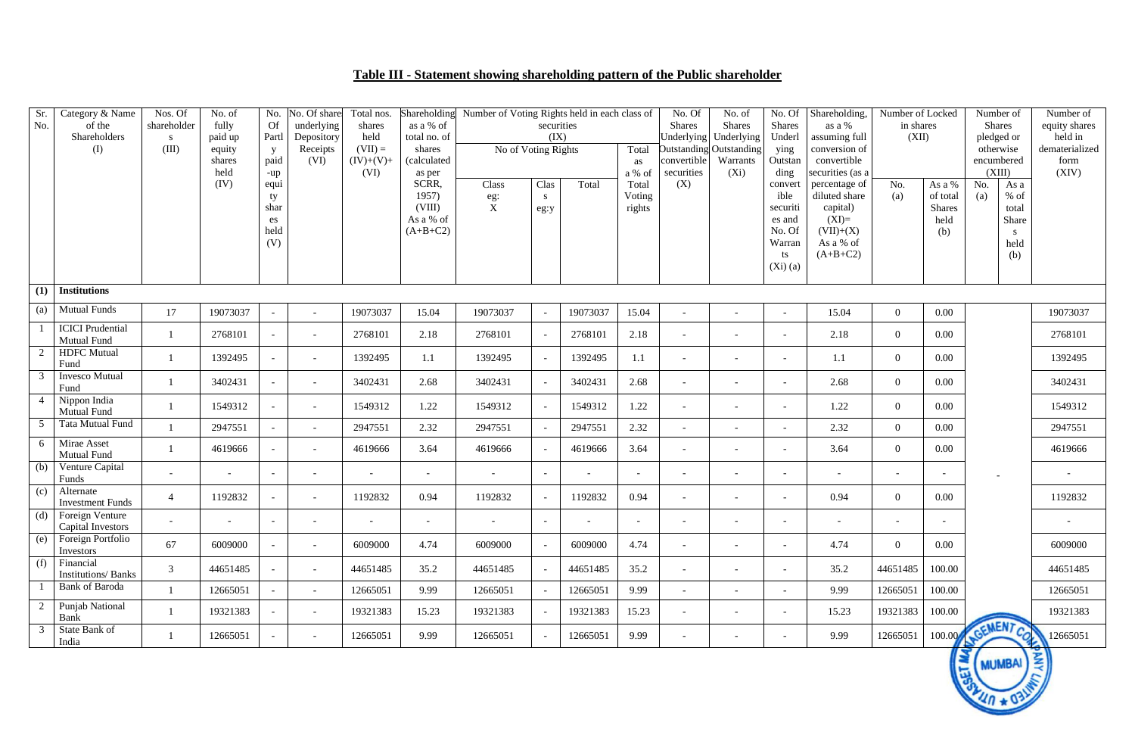## **Table III - Statement showing shareholding pattern of the Public shareholder**

| Sr.<br>No.<br>(1) | Category & Name<br>of the<br>Shareholders<br>(I)<br><b>Institutions</b> | Nos. Of<br>shareholder<br>S.<br>(III) | No. of<br>fully<br>paid up<br>equity<br>shares<br>held<br>(IV) | No.<br>Of<br>Partl<br>$\mathbf{y}$<br>paid<br>-up<br>equi<br>ty<br>shar<br>es<br>held<br>(V) | No. Of share<br>underlying<br>Depository<br>Receipts<br>(VI) | Total nos.<br>shares<br>held<br>$(VII) =$<br>$(IV)+(V)+$<br>(VI) | Shareholding<br>as a % of<br>total no. of<br>shares<br>(calculated<br>as per<br>SCRR,<br>1957)<br>(VIII)<br>As a % of<br>$(A+B+C2)$ | Number of Voting Rights held in each class of<br>No of Voting Rights<br>Class<br>eg:<br>$\mathbf X$ | securities<br>(IX)<br>Clas<br>S<br>eg:y | Total                    | Total<br>as<br>a % of<br>Total<br>Voting<br>rights | No. Of<br><b>Shares</b><br>convertible<br>securities<br>(X) | No. of<br><b>Shares</b><br>Underlying Underlying<br>Outstanding Outstanding<br>Warrants<br>$(X_i)$ | No. Of<br><b>Shares</b><br>Underl<br>ying<br>Outstan<br>ding<br>convert<br>ible<br>securiti<br>es and<br>No. Of<br>Warran<br>ts<br>(Xi)(a) | Shareholding,<br>as a %<br>assuming full<br>conversion of<br>convertible<br>securities (as a<br>percentage of<br>diluted share<br>capital)<br>$(XI)=$<br>$(VII)+(X)$<br>As a % of<br>$(A+B+C2)$ | Number of Locked<br>in shares<br>(XII)<br>No.<br>(a) | As a %<br>of total<br><b>Shares</b><br>held<br>(b) | Number of<br>Shares<br>pledged or<br>otherwise<br>encumbered<br>(XIII)<br>No.<br>As a<br>$%$ of<br>(a)<br>total<br>Share<br>S.<br>held<br>(b) | Number of<br>equity shares<br>held in<br>dematerialized<br>form<br>(XIV) |
|-------------------|-------------------------------------------------------------------------|---------------------------------------|----------------------------------------------------------------|----------------------------------------------------------------------------------------------|--------------------------------------------------------------|------------------------------------------------------------------|-------------------------------------------------------------------------------------------------------------------------------------|-----------------------------------------------------------------------------------------------------|-----------------------------------------|--------------------------|----------------------------------------------------|-------------------------------------------------------------|----------------------------------------------------------------------------------------------------|--------------------------------------------------------------------------------------------------------------------------------------------|-------------------------------------------------------------------------------------------------------------------------------------------------------------------------------------------------|------------------------------------------------------|----------------------------------------------------|-----------------------------------------------------------------------------------------------------------------------------------------------|--------------------------------------------------------------------------|
| $\left( a\right)$ | <b>Mutual Funds</b>                                                     |                                       |                                                                |                                                                                              |                                                              |                                                                  |                                                                                                                                     |                                                                                                     |                                         |                          |                                                    |                                                             |                                                                                                    |                                                                                                                                            |                                                                                                                                                                                                 |                                                      |                                                    |                                                                                                                                               |                                                                          |
|                   | <b>ICICI</b> Prudential                                                 | 17                                    | 19073037<br>2768101                                            | $\overline{\phantom{a}}$<br>$\overline{\phantom{a}}$                                         | $\sim$<br>$\sim$                                             | 19073037<br>2768101                                              | 15.04<br>2.18                                                                                                                       | 19073037<br>2768101                                                                                 |                                         | 19073037<br>2768101      | 15.04<br>2.18                                      | $\overline{\phantom{a}}$<br>$\overline{\phantom{a}}$        | $\overline{\phantom{a}}$<br>$\overline{a}$                                                         | $\overline{\phantom{a}}$<br>$\overline{\phantom{a}}$                                                                                       | 15.04<br>2.18                                                                                                                                                                                   | $\overline{0}$<br>$\overline{0}$                     | 0.00<br>0.00                                       |                                                                                                                                               | 19073037<br>2768101                                                      |
| 2                 | Mutual Fund<br><b>HDFC</b> Mutual                                       |                                       | 1392495                                                        | $\overline{\phantom{a}}$                                                                     | $\sim$                                                       | 1392495                                                          | 1.1                                                                                                                                 | 1392495                                                                                             | $\overline{a}$                          | 1392495                  | 1.1                                                | $\overline{\phantom{a}}$                                    | $\overline{\phantom{0}}$                                                                           | $\overline{\phantom{a}}$                                                                                                                   | 1.1                                                                                                                                                                                             | $\overline{0}$                                       | 0.00                                               |                                                                                                                                               | 1392495                                                                  |
| 3 <sup>7</sup>    | Fund<br><b>Invesco Mutual</b><br>Fund                                   |                                       | 3402431                                                        | $\overline{\phantom{a}}$                                                                     | $\sim$                                                       | 3402431                                                          | 2.68                                                                                                                                | 3402431                                                                                             |                                         | 3402431                  | 2.68                                               | $\overline{\phantom{a}}$                                    | $\sim$                                                                                             | $\overline{\phantom{a}}$                                                                                                                   | 2.68                                                                                                                                                                                            | $\overline{0}$                                       | $0.00\,$                                           |                                                                                                                                               | 3402431                                                                  |
| $\overline{4}$    | Nippon India<br><b>Mutual Fund</b>                                      |                                       | 1549312                                                        | $\overline{\phantom{a}}$                                                                     | $\overline{\phantom{0}}$                                     | 1549312                                                          | 1.22                                                                                                                                | 1549312                                                                                             |                                         | 1549312                  | 1.22                                               | $\overline{\phantom{a}}$                                    | $\overline{\phantom{0}}$                                                                           | $\overline{\phantom{a}}$                                                                                                                   | 1.22                                                                                                                                                                                            | $\overline{0}$                                       | 0.00                                               |                                                                                                                                               | 1549312                                                                  |
| $\overline{5}$    | Tata Mutual Fund                                                        |                                       | 2947551                                                        | $\overline{\phantom{a}}$                                                                     | $\sim$                                                       | 2947551                                                          | 2.32                                                                                                                                | 2947551                                                                                             |                                         | 2947551                  | 2.32                                               | $\overline{\phantom{a}}$                                    | $\overline{a}$                                                                                     | $\overline{\phantom{a}}$                                                                                                                   | 2.32                                                                                                                                                                                            | $\overline{0}$                                       | $0.00\,$                                           |                                                                                                                                               | 2947551                                                                  |
| 6                 | Mirae Asset<br>Mutual Fund                                              |                                       | 4619666                                                        |                                                                                              | $\overline{\phantom{a}}$                                     | 4619666                                                          | 3.64                                                                                                                                | 4619666                                                                                             |                                         | 4619666                  | 3.64                                               | $\overline{\phantom{a}}$                                    | $\sim$                                                                                             | $\overline{\phantom{a}}$                                                                                                                   | 3.64                                                                                                                                                                                            | $\overline{0}$                                       | $0.00\,$                                           |                                                                                                                                               | 4619666                                                                  |
| (b)               | Venture Capital<br>Funds                                                |                                       | $\overline{\phantom{a}}$                                       | $\overline{\phantom{a}}$                                                                     |                                                              |                                                                  | $\overline{\phantom{a}}$                                                                                                            |                                                                                                     |                                         | $\overline{\phantom{0}}$ | $\sim$                                             | $\overline{\phantom{a}}$                                    |                                                                                                    | $\overline{\phantom{a}}$                                                                                                                   |                                                                                                                                                                                                 |                                                      | $\overline{\phantom{a}}$                           |                                                                                                                                               |                                                                          |
| (c)               | Alternate<br><b>Investment Funds</b>                                    | $\overline{4}$                        | 1192832                                                        | $\overline{\phantom{a}}$                                                                     | $\sim$                                                       | 1192832                                                          | 0.94                                                                                                                                | 1192832                                                                                             |                                         | 1192832                  | 0.94                                               | $\overline{\phantom{a}}$                                    |                                                                                                    | $\overline{\phantom{a}}$                                                                                                                   | 0.94                                                                                                                                                                                            | $\overline{0}$                                       | 0.00                                               |                                                                                                                                               | 1192832                                                                  |
|                   | $(d)$ Foreign Venture<br><b>Capital Investors</b>                       |                                       |                                                                |                                                                                              |                                                              |                                                                  |                                                                                                                                     |                                                                                                     |                                         |                          |                                                    |                                                             |                                                                                                    |                                                                                                                                            |                                                                                                                                                                                                 |                                                      |                                                    |                                                                                                                                               |                                                                          |
| (e)               | Foreign Portfolio<br>Investors                                          | 67                                    | 6009000                                                        | $\overline{\phantom{a}}$                                                                     | $\overline{a}$                                               | 6009000                                                          | 4.74                                                                                                                                | 6009000                                                                                             | $\overline{\phantom{a}}$                | 6009000                  | 4.74                                               | $\overline{\phantom{a}}$                                    | $\overline{\phantom{a}}$                                                                           | $\overline{\phantom{a}}$                                                                                                                   | 4.74                                                                                                                                                                                            | $\overline{0}$                                       | 0.00                                               |                                                                                                                                               | 6009000                                                                  |
| (f)               | Financial<br><b>Institutions/Banks</b>                                  | 3                                     | 44651485                                                       | $\overline{\phantom{a}}$                                                                     | $\sim$                                                       | 44651485                                                         | 35.2                                                                                                                                | 44651485                                                                                            |                                         | 44651485                 | 35.2                                               | $\overline{\phantom{a}}$                                    | $\overline{\phantom{a}}$                                                                           | $\overline{\phantom{a}}$                                                                                                                   | 35.2                                                                                                                                                                                            | 44651485                                             | 100.00                                             |                                                                                                                                               | 44651485                                                                 |
|                   | <b>Bank of Baroda</b>                                                   |                                       | 12665051                                                       | $\overline{\phantom{a}}$                                                                     | $\sim$                                                       | 12665051                                                         | 9.99                                                                                                                                | 12665051                                                                                            |                                         | 12665051                 | 9.99                                               | $\overline{\phantom{a}}$                                    | $\overline{\phantom{a}}$                                                                           | $\overline{\phantom{a}}$                                                                                                                   | 9.99                                                                                                                                                                                            | 12665051                                             | 100.00                                             |                                                                                                                                               | 12665051                                                                 |
|                   | 2 Punjab National<br>Bank                                               |                                       | 19321383                                                       | $\overline{\phantom{a}}$                                                                     | $\overline{a}$                                               | 19321383                                                         | 15.23                                                                                                                               | 19321383                                                                                            |                                         | 19321383                 | 15.23                                              | $\overline{\phantom{a}}$                                    | $\overline{\phantom{0}}$                                                                           | $\overline{\phantom{a}}$                                                                                                                   | 15.23                                                                                                                                                                                           | 19321383                                             | 100.00                                             |                                                                                                                                               | 19321383                                                                 |
| 3                 | State Bank of<br>India                                                  |                                       | 12665051                                                       |                                                                                              | $\overline{\phantom{a}}$                                     | 12665051                                                         | 9.99                                                                                                                                | 12665051                                                                                            |                                         | 12665051                 | 9.99                                               | $\overline{\phantom{a}}$                                    |                                                                                                    | $\overline{\phantom{a}}$                                                                                                                   | 9.99                                                                                                                                                                                            | 12665051                                             | 100.00                                             | AGEMENT COM                                                                                                                                   | 12665051                                                                 |
|                   |                                                                         |                                       |                                                                |                                                                                              |                                                              |                                                                  |                                                                                                                                     |                                                                                                     |                                         |                          |                                                    |                                                             |                                                                                                    |                                                                                                                                            |                                                                                                                                                                                                 |                                                      | E<br>园                                             | <b>MUMBAI</b><br>OVILLO * OBLIN                                                                                                               | 圣<br>$\prec$                                                             |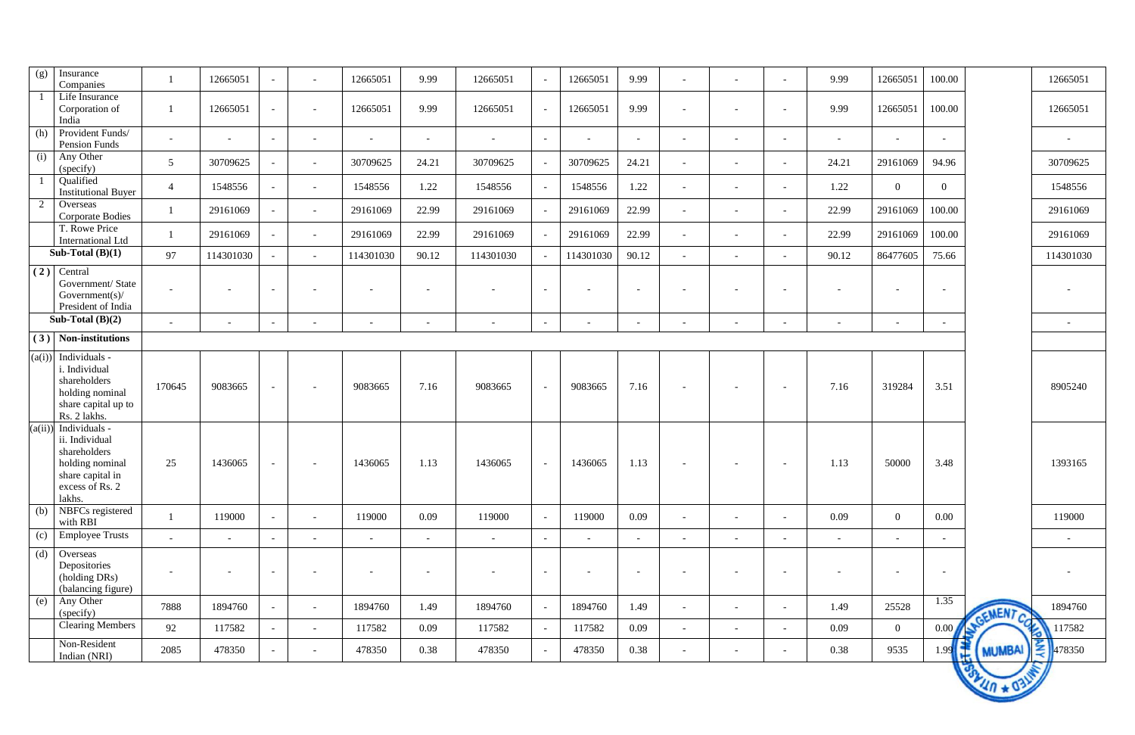| (g)<br>Insurance<br>Companies                                                                                                 |                          | 12665051                 | $\overline{\phantom{a}}$ | $\overline{a}$           | 12665051                 | 9.99                     | 12665051                 |                          | 12665051                 | 9.99                     | $\overline{\phantom{a}}$ | $\overline{\phantom{0}}$ | $\overline{\phantom{a}}$ | 9.99                     | 12665051                 | 100.00                   |                      | 12665051                 |
|-------------------------------------------------------------------------------------------------------------------------------|--------------------------|--------------------------|--------------------------|--------------------------|--------------------------|--------------------------|--------------------------|--------------------------|--------------------------|--------------------------|--------------------------|--------------------------|--------------------------|--------------------------|--------------------------|--------------------------|----------------------|--------------------------|
| Life Insurance<br>Corporation of<br>India                                                                                     |                          | 12665051                 | $\overline{\phantom{a}}$ |                          | 12665051                 | 9.99                     | 12665051                 |                          | 12665051                 | 9.99                     |                          |                          | $\overline{\phantom{a}}$ | 9.99                     | 12665051                 | 100.00                   |                      | 12665051                 |
| Provident Funds/<br>(h)<br>Pension Funds                                                                                      | $\overline{\phantom{0}}$ | $\overline{\phantom{a}}$ | $\sim$                   | $\overline{\phantom{0}}$ | $\sim$                   | $\overline{\phantom{a}}$ | $\overline{\phantom{a}}$ | $\overline{\phantom{a}}$ | $\overline{\phantom{0}}$ | $\overline{a}$           | $\overline{\phantom{a}}$ |                          | $\overline{\phantom{a}}$ | $\overline{\phantom{a}}$ | $\overline{\phantom{a}}$ | $\overline{\phantom{a}}$ |                      | $\overline{\phantom{a}}$ |
| Any Other<br>(i)<br>(specify)                                                                                                 | $5\overline{)}$          | 30709625                 | $\sim$                   | $\sim$                   | 30709625                 | 24.21                    | 30709625                 |                          | 30709625                 | 24.21                    | $\overline{\phantom{a}}$ | $\overline{\phantom{a}}$ | $\overline{\phantom{a}}$ | 24.21                    | 29161069                 | 94.96                    |                      | 30709625                 |
| Qualified<br><b>Institutional Buyer</b>                                                                                       | $\overline{4}$           | 1548556                  | $\overline{\phantom{a}}$ | $\overline{\phantom{0}}$ | 1548556                  | 1.22                     | 1548556                  | $\overline{a}$           | 1548556                  | 1.22                     | $\overline{\phantom{a}}$ |                          | $\overline{\phantom{a}}$ | 1.22                     | $\overline{0}$           | $\overline{0}$           |                      | 1548556                  |
| 2<br>Overseas<br><b>Corporate Bodies</b>                                                                                      |                          | 29161069                 | $\sim$                   | $\overline{a}$           | 29161069                 | 22.99                    | 29161069                 |                          | 29161069                 | 22.99                    | $\overline{\phantom{a}}$ | $\overline{\phantom{a}}$ | $\overline{\phantom{a}}$ | 22.99                    | 29161069                 | 100.00                   |                      | 29161069                 |
| T. Rowe Price<br><b>International Ltd</b>                                                                                     |                          | 29161069                 | $\overline{\phantom{a}}$ | $\overline{a}$           | 29161069                 | 22.99                    | 29161069                 |                          | 29161069                 | 22.99                    | $\overline{\phantom{a}}$ |                          | $\overline{\phantom{a}}$ | 22.99                    | 29161069                 | 100.00                   |                      | 29161069                 |
| Sub-Total $(B)(1)$                                                                                                            | 97                       | 114301030                | $-$                      | $\sim$                   | 114301030                | 90.12                    | 114301030                |                          | 114301030                | 90.12                    |                          |                          | $\sim$                   | 90.12                    | 86477605                 | 75.66                    |                      | 114301030                |
| (2)<br>Central<br>Government/ State<br>Government(s)/<br>President of India                                                   | $\overline{\phantom{a}}$ | $\overline{\phantom{a}}$ | $\overline{\phantom{a}}$ |                          | $\overline{\phantom{a}}$ | $\overline{\phantom{a}}$ |                          | $\overline{a}$           |                          | $\overline{\phantom{0}}$ | $\overline{\phantom{a}}$ |                          | $\overline{\phantom{a}}$ |                          | $\overline{\phantom{a}}$ | $\overline{\phantom{a}}$ |                      | $\overline{\phantom{a}}$ |
| Sub-Total $(B)(2)$                                                                                                            | $\sim$                   | $\overline{\phantom{a}}$ | $\overline{\phantom{a}}$ |                          | $\overline{\phantom{a}}$ | $\overline{\phantom{a}}$ | $\overline{\phantom{a}}$ | $\overline{\phantom{0}}$ | $\overline{\phantom{0}}$ | $\overline{\phantom{0}}$ |                          |                          | $\overline{\phantom{a}}$ | $\overline{\phantom{a}}$ | $\overline{\phantom{a}}$ | $\overline{\phantom{a}}$ |                      | $\overline{\phantom{a}}$ |
| Non-institutions<br>(3)                                                                                                       |                          |                          |                          |                          |                          |                          |                          |                          |                          |                          |                          |                          |                          |                          |                          |                          |                      |                          |
| Individuals -<br>(a(i))<br>i. Individual<br>shareholders<br>holding nominal<br>share capital up to<br>Rs. 2 lakhs.            | 170645                   | 9083665                  | $\overline{\phantom{a}}$ |                          | 9083665                  | 7.16                     | 9083665                  | $\overline{\phantom{0}}$ | 9083665                  | 7.16                     | $\overline{\phantom{a}}$ |                          | $\overline{\phantom{a}}$ | 7.16                     | 319284                   | 3.51                     |                      | 8905240                  |
| $(a(ii))$ Individuals -<br>ii. Individual<br>shareholders<br>holding nominal<br>share capital in<br>excess of Rs. 2<br>lakhs. | 25                       | 1436065                  | $\overline{\phantom{a}}$ | $\overline{\phantom{a}}$ | 1436065                  | 1.13                     | 1436065                  | $\overline{\phantom{a}}$ | 1436065                  | 1.13                     | $\overline{\phantom{a}}$ |                          | $\overline{\phantom{a}}$ | 1.13                     | 50000                    | 3.48                     |                      | 1393165                  |
| NBFCs registered<br>(b)<br>with RBI                                                                                           |                          | 119000                   | $\sim$                   | $\sim$                   | 119000                   | 0.09                     | 119000                   | $\sim$                   | 119000                   | 0.09                     | $\overline{\phantom{a}}$ | $\overline{\phantom{a}}$ | $\sim$                   | 0.09                     | $\overline{0}$           | 0.00                     |                      | 119000                   |
| <b>Employee Trusts</b><br>(c)                                                                                                 | $\sim$                   | $\overline{\phantom{a}}$ | $\sim$                   | $\overline{\phantom{0}}$ | $\sim$                   | $\overline{\phantom{a}}$ | $\overline{\phantom{a}}$ | $\sim$                   | $ \,$                    | $\sim$                   | $\overline{\phantom{a}}$ | $\overline{\phantom{0}}$ | $\overline{\phantom{a}}$ | $\overline{\phantom{a}}$ | $\overline{\phantom{0}}$ | $\sim$                   |                      | $\overline{\phantom{a}}$ |
| (d)<br>Overseas<br>Depositories<br>(holding DRs)<br>(balancing figure)                                                        | $\overline{\phantom{a}}$ | $\overline{\phantom{a}}$ | $\overline{\phantom{a}}$ | $\overline{\phantom{a}}$ | $\overline{\phantom{a}}$ | $\overline{\phantom{a}}$ | $\overline{\phantom{a}}$ | $\sim$                   | $\overline{\phantom{a}}$ | $\sim$                   | $\overline{\phantom{a}}$ |                          | $\overline{\phantom{a}}$ | $\overline{\phantom{a}}$ | $\overline{\phantom{a}}$ | $\overline{\phantom{a}}$ |                      | $\overline{\phantom{a}}$ |
| Any Other<br>(e)<br>(specify)                                                                                                 | 7888                     | 1894760                  | $\overline{\phantom{a}}$ | $\overline{a}$           | 1894760                  | 1.49                     | 1894760                  | $\overline{\phantom{a}}$ | 1894760                  | 1.49                     | $\overline{\phantom{a}}$ | $\overline{\phantom{a}}$ | $\overline{\phantom{a}}$ | 1.49                     | 25528                    | 1.35                     | GEMENT CO            | 1894760                  |
| <b>Clearing Members</b>                                                                                                       | 92                       | 117582                   | $\sim$                   | $ \,$                    | 117582                   | 0.09                     | 117582                   | $\sim$                   | 117582                   | 0.09                     | $\overline{\phantom{a}}$ | $\sim$                   | $\overline{\phantom{a}}$ | 0.09                     | $\overline{0}$           | 0.00                     | A                    | 117582                   |
| Non-Resident<br>Indian (NRI)                                                                                                  | 2085                     | 478350                   | $\overline{\phantom{a}}$ | $\overline{\phantom{a}}$ | 478350                   | 0.38                     | 478350                   | $\sim$                   | 478350                   | 0.38                     | $\overline{\phantom{a}}$ | $\overline{\phantom{a}}$ | $\overline{\phantom{a}}$ | 0.38                     | 9535                     | ۱ę<br>1.99               | <b>MUMBAI</b>        | $\frac{2}{3}$ 478350     |
|                                                                                                                               |                          |                          |                          |                          |                          |                          |                          |                          |                          |                          |                          |                          |                          |                          |                          |                          | <b>BALLIO * 03LM</b> |                          |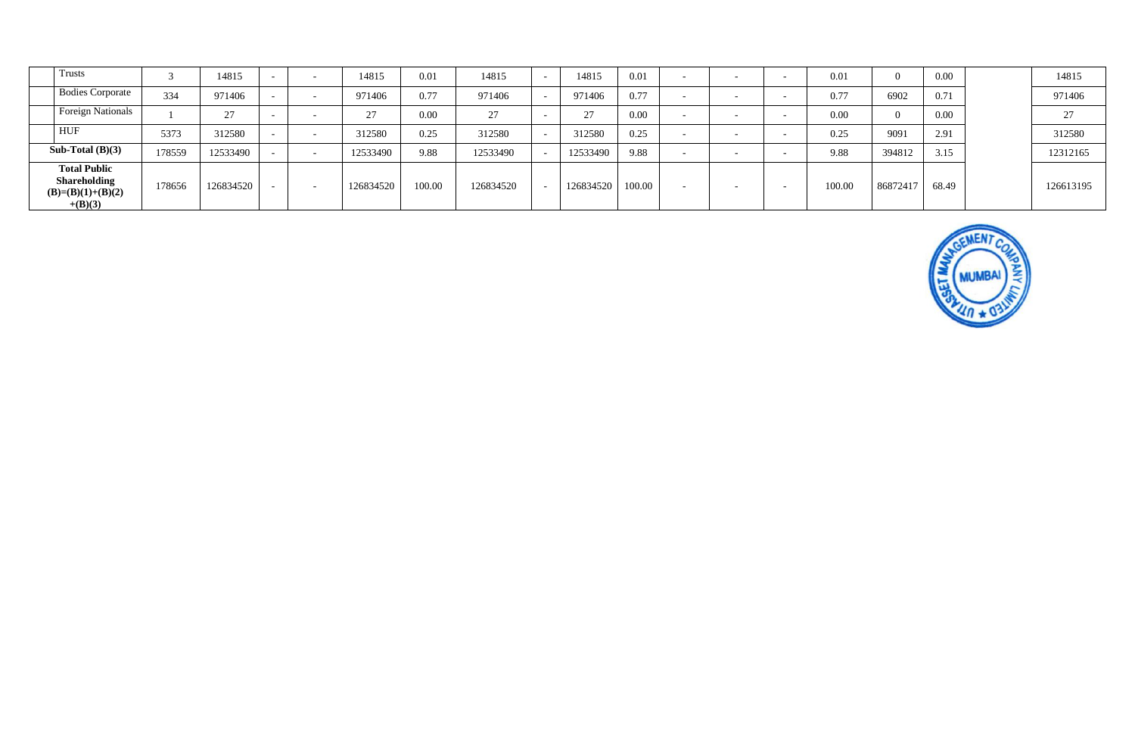| <b>Trusts</b>                                                                  |        | 14815     | $\sim$ | $\overline{\phantom{a}}$ | 14815     | 0.01   | 14815     | $-$                      | 14815     | 0.01   | $\overline{\phantom{0}}$ | $\overline{\phantom{a}}$ | - | 0.01   | $\Omega$       | 0.00  | 14815     |
|--------------------------------------------------------------------------------|--------|-----------|--------|--------------------------|-----------|--------|-----------|--------------------------|-----------|--------|--------------------------|--------------------------|---|--------|----------------|-------|-----------|
| <b>Bodies Corporate</b>                                                        | 334    | 971406    |        |                          | 971406    | 0.77   | 971406    | $\sim$                   | 971406    | 0.77   | $\overline{\phantom{a}}$ | -                        |   | 0.77   | 6902           | 0.71  | 971406    |
| <b>Foreign Nationals</b>                                                       |        | 27        |        |                          | 27        | 0.00   | 27        | $\overline{\phantom{0}}$ | 27        | 0.00   | $\overline{\phantom{0}}$ | $\overline{\phantom{0}}$ | - | 0.00   | $\overline{0}$ | 0.00  | 27        |
| <b>HUF</b>                                                                     | 5373   | 312580    |        |                          | 312580    | 0.25   | 312580    |                          | 312580    | 0.25   | $\overline{\phantom{0}}$ | $\overline{\phantom{0}}$ |   | 0.25   | 9091           | 2.91  | 312580    |
| Sub-Total $(B)(3)$                                                             | 178559 | 12533490  |        |                          | 12533490  | 9.88   | 12533490  |                          | 12533490  | 9.88   | $\overline{\phantom{a}}$ |                          |   | 9.88   | 394812         | 3.15  | 12312165  |
| <b>Total Public</b><br><b>Shareholding</b><br>$(B)=(B)(1)+(B)(2)$<br>$+(B)(3)$ | 178656 | 126834520 |        |                          | 126834520 | 100.00 | 126834520 |                          | 126834520 | 100.00 | $\overline{\phantom{a}}$ | $\overline{\phantom{0}}$ |   | 100.00 | 86872417       | 68.49 | 126613195 |

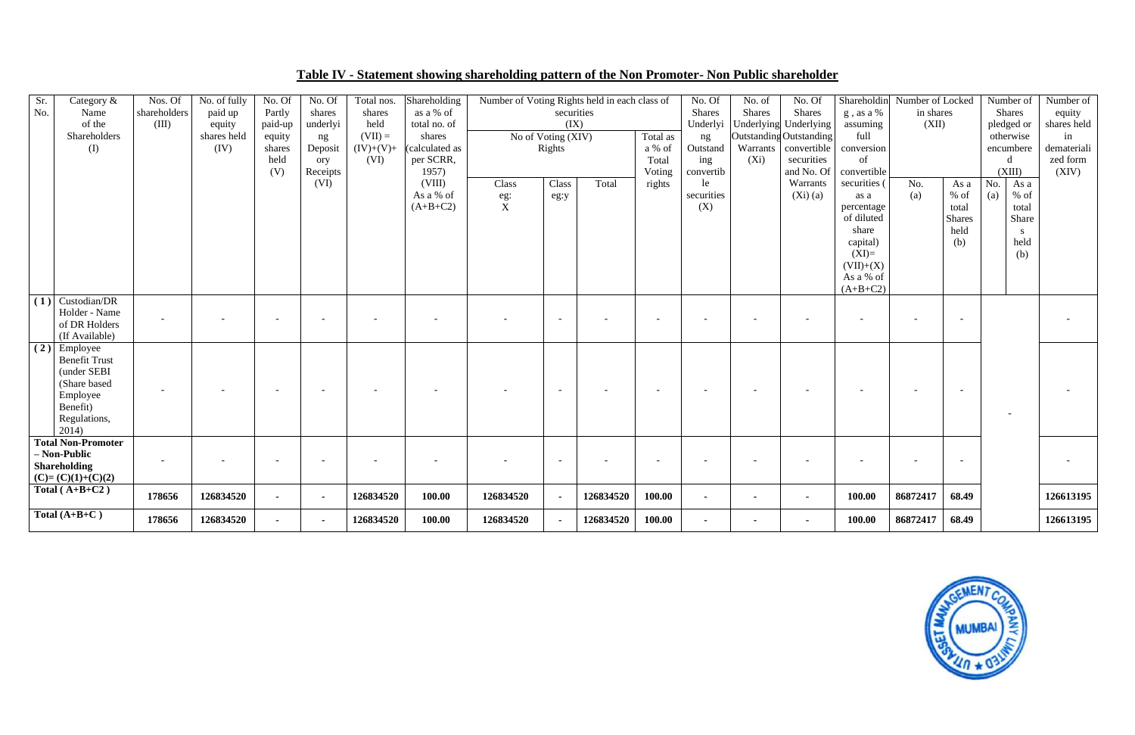| Sr.<br>No. | Category &<br>Name<br>of the<br>Shareholders<br>(I)                                                                          | Nos. Of<br>shareholders<br>(III) | No. of fully<br>paid up<br>equity<br>shares held<br>(IV) | No. Of<br>Partly<br>paid-up<br>equity<br>shares<br>held<br>(V) | No. Of<br>shares<br>underlyi<br>ng<br>Deposit<br>ory<br>Receipts | Total nos.<br>shares<br>held<br>$(VII) =$<br>$(IV)+(V)+$<br>(VI) | Shareholding<br>as a % of<br>total no. of<br>shares<br>(calculated as<br>per SCRR,<br>1957) | Number of Voting Rights held in each class of | securities<br>(IX)<br>No of Voting (XIV)<br>Rights |           | Total as<br>a % of<br>Total<br>Voting | No. Of<br><b>Shares</b><br>Underlyi<br>ng<br>Outstand<br>ing<br>convertib | No. of<br><b>Shares</b><br>Warrants<br>$(X_i)$ | No. Of<br><b>Shares</b><br>Underlying Underlying<br>Outstanding Outstanding<br>convertible<br>securities<br>and No. Of | Shareholdin<br>g, as a %<br>assuming<br>full<br>conversion<br>of<br>convertible                                            | Number of Locked<br>in shares<br>(XII) |                                                         | Number of<br><b>Shares</b><br>pledged or<br>otherwise<br>encumbere<br>d<br>(XIII) | Number of<br>equity<br>shares held<br>in<br>demateriali<br>zed form<br>(XIV) |
|------------|------------------------------------------------------------------------------------------------------------------------------|----------------------------------|----------------------------------------------------------|----------------------------------------------------------------|------------------------------------------------------------------|------------------------------------------------------------------|---------------------------------------------------------------------------------------------|-----------------------------------------------|----------------------------------------------------|-----------|---------------------------------------|---------------------------------------------------------------------------|------------------------------------------------|------------------------------------------------------------------------------------------------------------------------|----------------------------------------------------------------------------------------------------------------------------|----------------------------------------|---------------------------------------------------------|-----------------------------------------------------------------------------------|------------------------------------------------------------------------------|
|            |                                                                                                                              |                                  |                                                          |                                                                | (VI)                                                             |                                                                  | (VIII)<br>As a % of<br>$(A+B+C2)$                                                           | Class<br>eg:<br>$\frac{1}{X}$                 | Class<br>eg:y                                      | Total     | rights                                | le<br>securities<br>(X)                                                   |                                                | Warrants<br>(Xi)(a)                                                                                                    | securities (<br>as a<br>percentage<br>of diluted<br>share<br>capital)<br>$(XI)=$<br>$(VII)+(X)$<br>As a % of<br>$(A+B+C2)$ | No.<br>(a)                             | As a<br>$%$ of<br>total<br><b>Shares</b><br>held<br>(b) | No.<br>As a<br>$\%$ of<br>(a)<br>total<br>Share<br>S<br>held<br>(b)               |                                                                              |
|            | $(1)$ Custodian/DR<br>Holder - Name<br>of DR Holders<br>(If Available)                                                       | $\sim$                           |                                                          | $\overline{\phantom{a}}$                                       |                                                                  |                                                                  |                                                                                             |                                               |                                                    |           | $\overline{\phantom{0}}$              | $\overline{\phantom{a}}$                                                  |                                                |                                                                                                                        |                                                                                                                            |                                        |                                                         |                                                                                   |                                                                              |
|            | $\vert$ (2) Employee<br><b>Benefit Trust</b><br>(under SEBI<br>(Share based<br>Employee<br>Benefit)<br>Regulations,<br>2014) | $\overline{\phantom{a}}$         |                                                          | $\overline{\phantom{a}}$                                       |                                                                  |                                                                  |                                                                                             |                                               |                                                    |           |                                       |                                                                           |                                                |                                                                                                                        |                                                                                                                            |                                        |                                                         |                                                                                   |                                                                              |
|            | <b>Total Non-Promoter</b><br>- Non-Public<br><b>Shareholding</b><br>$(C)=(C)(1)+(C)(2)$                                      | $\overline{\phantom{a}}$         |                                                          | $\blacksquare$                                                 | $\overline{\phantom{a}}$                                         | $\overline{\phantom{0}}$                                         | $\overline{\phantom{a}}$                                                                    |                                               |                                                    |           | $\overline{\phantom{0}}$              | $\overline{\phantom{a}}$                                                  |                                                | $\overline{\phantom{a}}$                                                                                               | $\overline{\phantom{0}}$                                                                                                   |                                        |                                                         |                                                                                   |                                                                              |
|            | Total $(A+B+C2)$                                                                                                             | 178656                           | 126834520                                                | $\blacksquare$                                                 | $\blacksquare$                                                   | 126834520                                                        | 100.00                                                                                      | 126834520                                     | $\mathbf{r}$                                       | 126834520 | 100.00                                | $\blacksquare$                                                            | $\blacksquare$                                 | $\sim$                                                                                                                 | 100.00                                                                                                                     | 86872417                               | 68.49                                                   |                                                                                   | 126613195                                                                    |
|            | Total $(A+B+C)$                                                                                                              | 178656                           | 126834520                                                | $\sim$                                                         | $\blacksquare$                                                   | 126834520                                                        | 100.00                                                                                      | 126834520                                     | $\sim$                                             | 126834520 | 100.00                                | $\blacksquare$                                                            |                                                | $\sim$                                                                                                                 | 100.00                                                                                                                     | 86872417                               | 68.49                                                   |                                                                                   | 126613195                                                                    |

| I |  |   |  |
|---|--|---|--|
|   |  | I |  |
| ш |  |   |  |
|   |  |   |  |